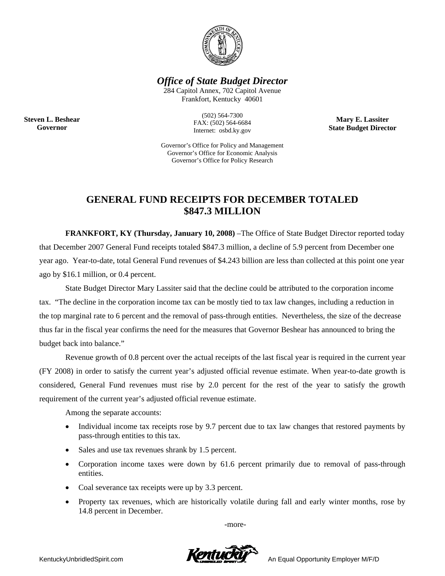

*Office of State Budget Director* 

284 Capitol Annex, 702 Capitol Avenue Frankfort, Kentucky 40601

> (502) 564-7300 FAX: (502) 564-6684 Internet: osbd.ky.gov

**Mary E. Lassiter State Budget Director** 

Governor's Office for Policy and Management Governor's Office for Economic Analysis Governor's Office for Policy Research

## **GENERAL FUND RECEIPTS FOR DECEMBER TOTALED \$847.3 MILLION**

**FRANKFORT, KY (Thursday, January 10, 2008)** –The Office of State Budget Director reported today that December 2007 General Fund receipts totaled \$847.3 million, a decline of 5.9 percent from December one year ago. Year-to-date, total General Fund revenues of \$4.243 billion are less than collected at this point one year ago by \$16.1 million, or 0.4 percent.

 State Budget Director Mary Lassiter said that the decline could be attributed to the corporation income tax. "The decline in the corporation income tax can be mostly tied to tax law changes, including a reduction in the top marginal rate to 6 percent and the removal of pass-through entities. Nevertheless, the size of the decrease thus far in the fiscal year confirms the need for the measures that Governor Beshear has announced to bring the budget back into balance."

 Revenue growth of 0.8 percent over the actual receipts of the last fiscal year is required in the current year (FY 2008) in order to satisfy the current year's adjusted official revenue estimate. When year-to-date growth is considered, General Fund revenues must rise by 2.0 percent for the rest of the year to satisfy the growth requirement of the current year's adjusted official revenue estimate.

Among the separate accounts:

- Individual income tax receipts rose by 9.7 percent due to tax law changes that restored payments by pass-through entities to this tax.
- Sales and use tax revenues shrank by 1.5 percent.
- Corporation income taxes were down by 61.6 percent primarily due to removal of pass-through entities.
- Coal severance tax receipts were up by 3.3 percent.
- Property tax revenues, which are historically volatile during fall and early winter months, rose by 14.8 percent in December.

-more-



**Steven L. Beshear Governor**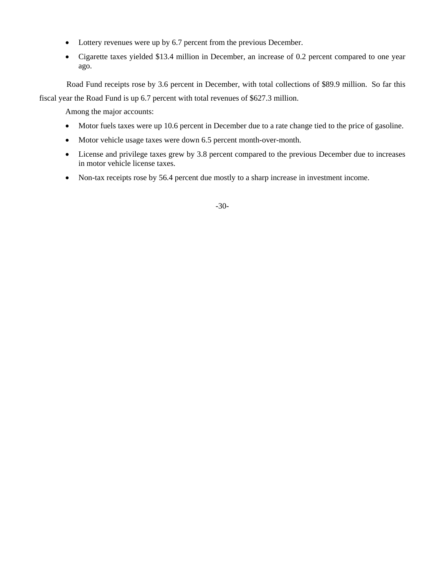- Lottery revenues were up by 6.7 percent from the previous December.
- Cigarette taxes yielded \$13.4 million in December, an increase of 0.2 percent compared to one year ago.

Road Fund receipts rose by 3.6 percent in December, with total collections of \$89.9 million. So far this

fiscal year the Road Fund is up 6.7 percent with total revenues of \$627.3 million.

Among the major accounts:

- Motor fuels taxes were up 10.6 percent in December due to a rate change tied to the price of gasoline.
- Motor vehicle usage taxes were down 6.5 percent month-over-month.
- License and privilege taxes grew by 3.8 percent compared to the previous December due to increases in motor vehicle license taxes.
- Non-tax receipts rose by 56.4 percent due mostly to a sharp increase in investment income.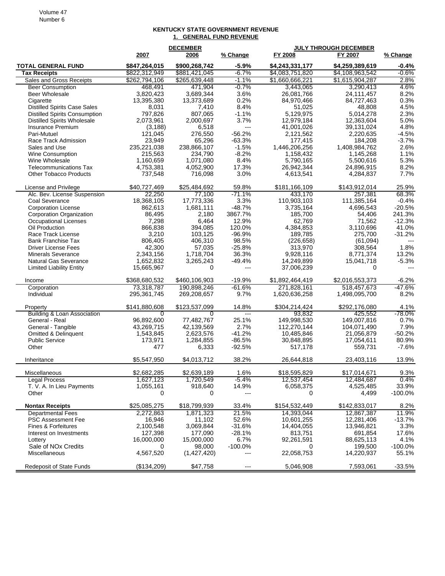## Volume 47 Number 6

## **KENTUCKY STATE GOVERNMENT REVENUE 1. GENERAL FUND REVENUE**

|                                           |                      | <b>DECEMBER</b>      |                 | <b>JULY THROUGH DECEMBER</b> |                         |                   |
|-------------------------------------------|----------------------|----------------------|-----------------|------------------------------|-------------------------|-------------------|
|                                           | 2007                 | 2006                 | % Change        | FY 2008                      | FY 2007                 | % Change          |
| <b>TOTAL GENERAL FUND</b>                 | \$847,264,015        | \$900,268,742        | $-5.9%$         | \$4,243,331,177              | \$4,259,389,619         | $-0.4%$           |
| <b>Tax Receipts</b>                       | \$822,312,949        | \$881,421,045        | $-6.7%$         | \$4,083,751,820              | \$4,108,963,542         | $-0.6%$           |
| Sales and Gross Receipts                  | \$262,794,106        | \$265,639,448        | $-1.1%$         | \$1,660,666,221              | \$1,615,904,287         | 2.8%              |
| <b>Beer Consumption</b><br>Beer Wholesale | 468,491<br>3,820,423 | 471,904<br>3,689,344 | $-0.7%$<br>3.6% | 3,443,065<br>26,081,766      | 3,290,413<br>24,111,457 | 4.6%<br>8.2%      |
| Cigarette                                 | 13,395,380           | 13,373,689           | 0.2%            | 84,970,466                   | 84,727,463              | 0.3%              |
| <b>Distilled Spirits Case Sales</b>       | 8,031                | 7,410                | 8.4%            | 51,025                       | 48,808                  | 4.5%              |
| <b>Distilled Spirits Consumption</b>      | 797,826              | 807,065              | $-1.1%$         | 5,129,975                    | 5,014,278               | 2.3%              |
| <b>Distilled Spirits Wholesale</b>        | 2,073,961            | 2,000,697            | 3.7%            | 12,979,184                   | 12,363,604              | 5.0%              |
| Insurance Premium                         | (3, 188)             | 6,518                | $---$           | 41,001,026                   | 39,131,024              | 4.8%              |
| Pari-Mutuel                               | 121,045              | 276,550              | $-56.2%$        | 2,121,562                    | 2,220,635               | $-4.5%$           |
| Race Track Admission                      | 23,949               | 65,296               | $-63.3%$        | 177,415                      | 184.208                 | $-3.7%$           |
| Sales and Use                             | 235,221,038          | 238,866,107          | $-1.5%$         | 1,446,206,256                | 1,408,984,762           | 2.6%              |
| <b>Wine Consumption</b>                   | 215,563              | 234,790              | $-8.2%$         | 1,158,432                    | 1,145,268               | 1.1%              |
| Wine Wholesale                            | 1,160,659            | 1,071,080            | 8.4%            | 5,790,165                    | 5,500,616               | 5.3%              |
| <b>Telecommunications Tax</b>             | 4,753,381            | 4,052,900            | 17.3%<br>3.0%   | 26,942,344<br>4,613,541      | 24,896,915              | 8.2%<br>7.7%      |
| <b>Other Tobacco Products</b>             | 737,548              | 716,098              |                 |                              | 4,284,837               |                   |
| License and Privilege                     | \$40,727,469         | \$25,484,692         | 59.8%           | \$181,166,109                | \$143,912,014           | 25.9%             |
| Alc. Bev. License Suspension              | 22,250               | 77,100               | $-71.1%$        | 433,170                      | 257,381                 | 68.3%             |
| Coal Severance                            | 18,368,105           | 17,773,336           | 3.3%            | 110,903,103                  | 111,385,164             | $-0.4%$           |
| <b>Corporation License</b>                | 862,613              | 1,681,111            | $-48.7%$        | 3,735,164                    | 4,696,543               | $-20.5%$          |
| <b>Corporation Organization</b>           | 86,495               | 2,180                | 3867.7%         | 185.700                      | 54,406                  | 241.3%            |
| Occupational Licenses<br>Oil Production   | 7,298<br>866,838     | 6,464<br>394,085     | 12.9%<br>120.0% | 62,769<br>4,384,853          | 71,562<br>3,110,696     | $-12.3%$<br>41.0% |
| Race Track License                        | 3,210                | 103.125              | $-96.9%$        | 189,785                      | 275,700                 | $-31.2%$          |
| <b>Bank Franchise Tax</b>                 | 806.405              | 406,310              | 98.5%           | (226, 658)                   | (61,094)                |                   |
| <b>Driver License Fees</b>                | 42,300               | 57,035               | $-25.8%$        | 313,970                      | 308,564                 | 1.8%              |
| <b>Minerals Severance</b>                 | 2,343,156            | 1,718,704            | 36.3%           | 9,928,116                    | 8,771,374               | 13.2%             |
| Natural Gas Severance                     | 1,652,832            | 3,265,243            | $-49.4%$        | 14,249,899                   | 15,041,718              | $-5.3%$           |
| <b>Limited Liability Entity</b>           | 15,665,967           | 0                    | $\overline{a}$  | 37,006,239                   | 0                       | $---$             |
| Income                                    | \$368,680,532        | \$460,106,903        | -19.9%          | \$1,892,464,419              | \$2,016,553,373         | $-6.2%$           |
| Corporation                               | 73,318,787           | 190,898,246          | $-61.6%$        | 271,828,161                  | 518,457,673             | $-47.6%$          |
| Individual                                | 295,361,745          | 269,208,657          | 9.7%            | 1,620,636,258                | 1,498,095,700           | 8.2%              |
| Property                                  | \$141,880,608        | \$123,537,099        | 14.8%           | \$304,214,424                | \$292,176,080           | 4.1%              |
| <b>Building &amp; Loan Association</b>    | 0                    | 0                    | $\overline{a}$  | 93,832                       | 425,552                 | $-78.0\%$         |
| General - Real                            | 96,892,600           | 77,482,767           | 25.1%           | 149,998,530                  | 149,007,816             | 0.7%              |
| General - Tangible                        | 43,269,715           | 42,139,569           | 2.7%            | 112,270,144                  | 104,071,490             | 7.9%              |
| Omitted & Delinquent                      | 1,543,845            | 2,623,576            | $-41.2%$        | 10,485,846                   | 21,056,879              | $-50.2%$          |
| <b>Public Service</b>                     | 173,971              | 1,284,855            | $-86.5%$        | 30,848,895                   | 17,054,611              | 80.9%             |
| Other                                     | 477                  | 6,333                | $-92.5%$        | 517,178                      | 559,731                 | $-7.6%$           |
| Inheritance                               | \$5,547,950          | \$4,013,712          | 38.2%           | 26,644,818                   | 23,403,116              | 13.9%             |
| Miscellaneous                             | \$2,682,285          | \$2,639,189          | 1.6%            | \$18,595,829                 | \$17,014,671            | 9.3%              |
| <b>Legal Process</b>                      | 1,627,123            | 1,720,549            | $-5.4%$         | 12,537,454                   | 12,484,687              | 0.4%              |
| T. V. A. In Lieu Payments                 | 1,055,161            | 918,640              | 14.9%           | 6,058,375                    | 4,525,485               | 33.9%             |
| Other                                     | 0                    | 0                    | ---             | 0                            | 4,499                   | $-100.0%$         |
| <b>Nontax Receipts</b>                    | \$25,085,275         | \$18,799,939         | 33.4%           | \$154,532,449                | \$142,833,017           | 8.2%              |
| <b>Departmental Fees</b>                  | 2,272,863            | 1,871,323            | 21.5%           | 14,393,044                   | 12,867,387              | 11.9%             |
| <b>PSC Assessment Fee</b>                 | 16,946               | 11,102               | 52.6%           | 10,601,255                   | 12,281,406              | $-13.7%$          |
| Fines & Forfeitures                       | 2,100,548            | 3,069,844            | $-31.6%$        | 14,404,055                   | 13,946,821              | 3.3%              |
| Interest on Investments                   | 127,398              | 177,090              | $-28.1%$        | 813,751                      | 691,854                 | 17.6%             |
| Lottery                                   | 16,000,000           | 15,000,000           | 6.7%            | 92,261,591                   | 88,625,113              | 4.1%              |
| Sale of NO <sub>x</sub> Credits           | 0                    | 98,000               | $-100.0\%$      | 0                            | 199,500                 | $-100.0%$         |
| Miscellaneous                             | 4,567,520            | (1,427,420)          | ---             | 22,058,753                   | 14,220,937              | 55.1%             |
| Redeposit of State Funds                  | (\$134,209)          | \$47,758             | ---             | 5,046,908                    | 7,593,061               | $-33.5%$          |